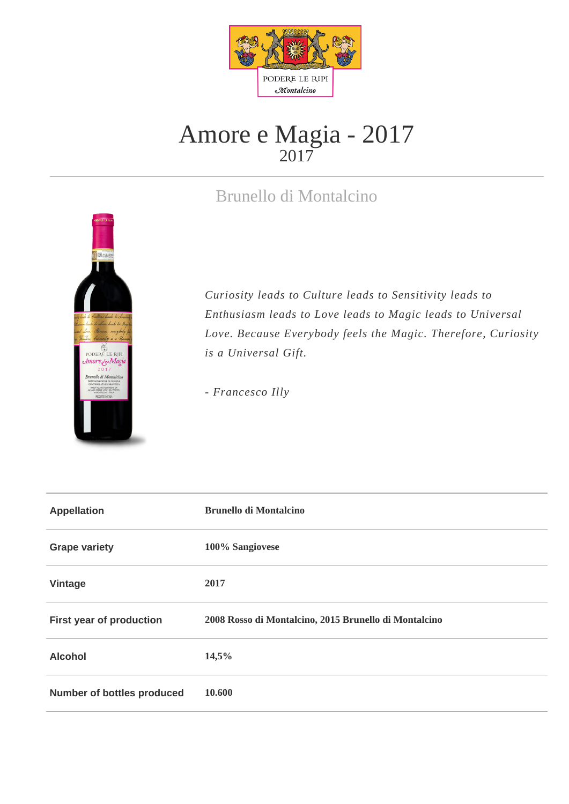

## Amore e Magia - 2017 2017

## Brunello di Montalcino



*Curiosity leads to Culture leads to Sensitivity leads to Enthusiasm leads to Love leads to Magic leads to Universal Love. Because Everybody feels the Magic. Therefore, Curiosity is a Universal Gift.* 

*- Francesco Illy*

| <b>Appellation</b>                | <b>Brunello di Montalcino</b>                         |
|-----------------------------------|-------------------------------------------------------|
| <b>Grape variety</b>              | 100% Sangiovese                                       |
| Vintage                           | 2017                                                  |
| First year of production          | 2008 Rosso di Montalcino, 2015 Brunello di Montalcino |
| <b>Alcohol</b>                    | 14,5%                                                 |
| <b>Number of bottles produced</b> | 10.600                                                |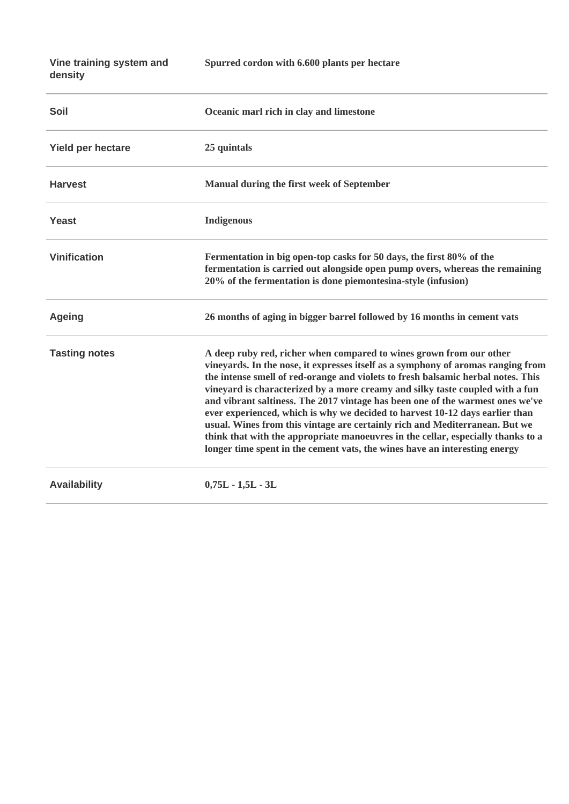**Vine training system and density**

**Spurred cordon with 6.600 plants per hectare**

| <b>Soil</b>          | Oceanic marl rich in clay and limestone                                                                                                                                                                                                                                                                                                                                                                                                                                                                                                                                                                                                                                                                                                         |
|----------------------|-------------------------------------------------------------------------------------------------------------------------------------------------------------------------------------------------------------------------------------------------------------------------------------------------------------------------------------------------------------------------------------------------------------------------------------------------------------------------------------------------------------------------------------------------------------------------------------------------------------------------------------------------------------------------------------------------------------------------------------------------|
| Yield per hectare    | 25 quintals                                                                                                                                                                                                                                                                                                                                                                                                                                                                                                                                                                                                                                                                                                                                     |
| <b>Harvest</b>       | <b>Manual during the first week of September</b>                                                                                                                                                                                                                                                                                                                                                                                                                                                                                                                                                                                                                                                                                                |
| <b>Yeast</b>         | <b>Indigenous</b>                                                                                                                                                                                                                                                                                                                                                                                                                                                                                                                                                                                                                                                                                                                               |
| <b>Vinification</b>  | Fermentation in big open-top casks for 50 days, the first 80% of the<br>fermentation is carried out alongside open pump overs, whereas the remaining<br>20% of the fermentation is done piemontesina-style (infusion)                                                                                                                                                                                                                                                                                                                                                                                                                                                                                                                           |
| <b>Ageing</b>        | 26 months of aging in bigger barrel followed by 16 months in cement vats                                                                                                                                                                                                                                                                                                                                                                                                                                                                                                                                                                                                                                                                        |
| <b>Tasting notes</b> | A deep ruby red, richer when compared to wines grown from our other<br>vineyards. In the nose, it expresses itself as a symphony of aromas ranging from<br>the intense smell of red-orange and violets to fresh balsamic herbal notes. This<br>vineyard is characterized by a more creamy and silky taste coupled with a fun<br>and vibrant saltiness. The 2017 vintage has been one of the warmest ones we've<br>ever experienced, which is why we decided to harvest 10-12 days earlier than<br>usual. Wines from this vintage are certainly rich and Mediterranean. But we<br>think that with the appropriate manoeuvres in the cellar, especially thanks to a<br>longer time spent in the cement vats, the wines have an interesting energy |
| <b>Availability</b>  | $0,75L - 1,5L - 3L$                                                                                                                                                                                                                                                                                                                                                                                                                                                                                                                                                                                                                                                                                                                             |